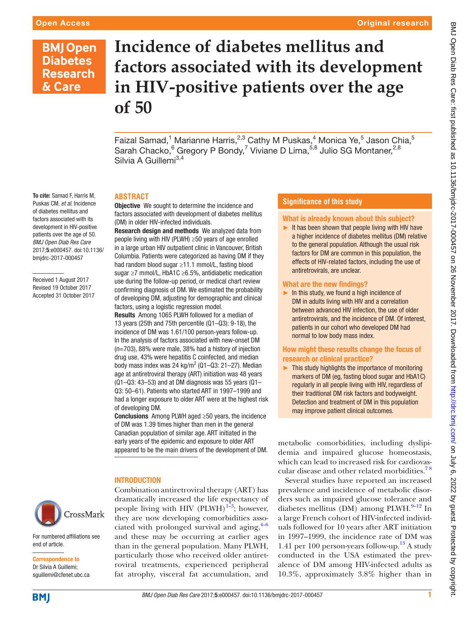# **BMJ Open Diabetes Research** & Care

To cite: Samad F, Harris M. Puskas CM, *et al*. Incidence of diabetes mellitus and factors associated with its development in HIV-positive patients over the age of 50. *BMJ Open Diab Res Care* 2017;5:e000457. doi:10.1136/ bmjdrc-2017-000457

Received 1 August 2017 Revised 19 October 2017 Accepted 31 October 2017

# **Incidence of diabetes mellitus and factors associated with its development in HIV-positive patients over the age of 50**

Faizal Samad,<sup>1</sup> Marianne Harris,<sup>2,3</sup> Cathy M Puskas,<sup>4</sup> Monica Ye,<sup>5</sup> Jason Chia,<sup>5</sup> Sarah Chacko, <sup>6</sup> Gregory P Bondy, <sup>7</sup> Viviane D Lima, <sup>5,8</sup> Julio SG Montaner, <sup>2,8</sup> Silvia A Guillemi<sup>3,4</sup>

# **Abstract**

**Objective** We sought to determine the incidence and factors associated with development of diabetes mellitus (DM) in older HIV-infected individuals.

Research design and methods We analyzed data from people living with HIV (PLWH) ≥50 years of age enrolled in a large urban HIV outpatient clinic in Vancouver, British Columbia. Patients were categorized as having DM if they had random blood sugar ≥11.1 mmol/L, fasting blood sugar ≥7 mmol/L, HbA1C ≥6.5%, antidiabetic medication use during the follow-up period, or medical chart review confirming diagnosis of DM. We estimated the probability of developing DM, adjusting for demographic and clinical factors, using a logistic regression model.

Results Among 1065 PLWH followed for a median of 13 years (25th and 75th percentile (Q1–Q3): 9-18), the incidence of DM was 1.61/100 person-years follow-up. In the analysis of factors associated with new-onset DM (n=703), 88% were male, 38% had a history of injection drug use, 43% were hepatitis C coinfected, and median body mass index was 24 kg/m<sup>2</sup> (Q1–Q3: 21–27). Median age at antiretroviral therapy (ART) initiation was 48 years  $(Q1-Q3: 43-53)$  and at DM diagnosis was 55 years  $(Q1-$ Q3: 50–61). Patients who started ART in 1997–1999 and had a longer exposure to older ART were at the highest risk of developing DM.

Conclusions Among PLWH aged ≥50 years, the incidence of DM was 1.39 times higher than men in the general Canadian population of similar age. ART initiated in the early years of the epidemic and exposure to older ART appeared to be the main drivers of the development of DM.

# **INTRODUCTION**

Combination antiretroviral therapy (ART) has dramatically increased the life expectancy of people living with HIV (PLWH) $1\overline{5}$ ; however, they are now developing comorbidities associated with prolonged survival and aging, $4-6$ and these may be occurring at earlier ages than in the general population. Many PLWH, particularly those who received older antiretroviral treatments, experienced peripheral fat atrophy, visceral fat accumulation, and

# **Significance of this study**

#### What is already known about this subject?

 $\blacktriangleright$  It has been shown that people living with HIV have a higher incidence of diabetes mellitus (DM) relative to the general population. Although the usual risk factors for DM are common in this population, the effects of HIV-related factors, including the use of antiretrovirals, are unclear.

#### What are the new findings?

 $\blacktriangleright$  In this study, we found a high incidence of DM in adults living with HIV and a correlation between advanced HIV infection, the use of older antiretrovirals, and the incidence of DM. Of interest, patients in our cohort who developed DM had normal to low body mass index.

#### How might these results change the focus of research or clinical practice?

► This study highlights the importance of monitoring markers of DM (eg, fasting blood sugar and HbA1C) regularly in all people living with HIV, regardless of their traditional DM risk factors and bodyweight. Detection and treatment of DM in this population may improve patient clinical outcomes.

metabolic comorbidities, including dyslipidemia and impaired glucose homeostasis, which can lead to increased risk for cardiovascular disease and other related morbidities.<sup>78</sup>

Several studies have reported an increased prevalence and incidence of metabolic disorders such as impaired glucose tolerance and diabetes mellitus (DM) among PLWH. $^{9-12}$  In a large French cohort of HIV-infected individuals followed for 10 years after ART initiation in 1997–1999, the incidence rate of DM was 1.41 per 100 person-years follow-up.<sup>13</sup> A study conducted in the USA estimated the prevalence of DM among HIV-infected adults as 10.3%, approximately 3.8% higher than in

CrossMark

For numbered affiliations see end of article.

Correspondence to Dr Silvia A Guillemi; sguillemi@cfenet.ubc.ca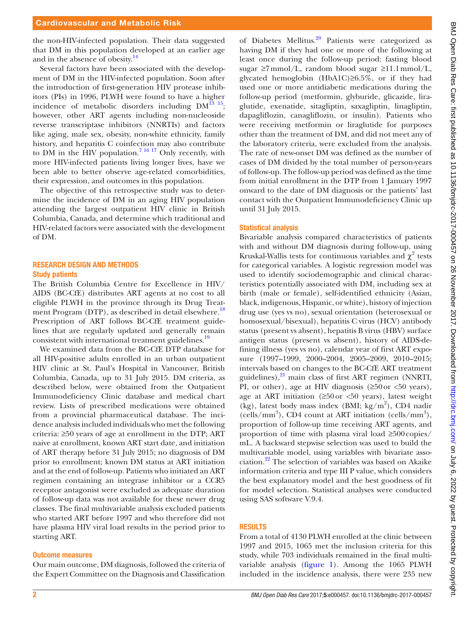the non-HIV-infected population. Their data suggested that DM in this population developed at an earlier age and in the absence of obesity.<sup>[14](#page-7-5)</sup>

Several factors have been associated with the development of DM in the HIV-infected population. Soon after the introduction of first-generation HIV protease inhibitors (PIs) in 1996, PLWH were found to have a higher incidence of metabolic disorders including  $DM^{13}$  <sup>15</sup>; however, other ART agents including non-nucleoside reverse transcriptase inhibitors (NNRTIs) and factors like aging, male sex, obesity, non-white ethnicity, family history, and hepatitis C coinfection may also contribute to DM in the HIV population.<sup>7</sup> <sup>16-17</sup> Only recently, with more HIV-infected patients living longer lives, have we been able to better observe age-related comorbidities, their expression, and outcomes in this population.

The objective of this retrospective study was to determine the incidence of DM in an aging HIV population attending the largest outpatient HIV clinic in British Columbia, Canada, and determine which traditional and HIV-related factors were associated with the development of DM.

# Research design and methods Study patients

The British Columbia Centre for Excellence in HIV/ AIDS (BC-CfE) distributes ART agents at no cost to all eligible PLWH in the province through its Drug Treat-ment Program (DTP), as described in detail elsewhere.<sup>[18](#page-7-6)</sup> Prescription of ART follows BC-CfE treatment guidelines that are regularly updated and generally remain consistent with international treatment guidelines.<sup>[19](#page-7-7)</sup>

We examined data from the BC-CfE DTP database for all HIV-positive adults enrolled in an urban outpatient HIV clinic at St. Paul's Hospital in Vancouver, British Columbia, Canada, up to 31 July 2015. DM criteria, as described below, were obtained from the Outpatient Immunodeficiency Clinic database and medical chart review. Lists of prescribed medications were obtained from a provincial pharmaceutical database. The incidence analysis included individuals who met the following criteria: ≥50 years of age at enrollment in the DTP; ART naive at enrollment, known ART start date, and initiation of ART therapy before 31 July 2015; no diagnosis of DM prior to enrollment; known DM status at ART initiation and at the end of follow-up. Patients who initiated an ART regimen containing an integrase inhibitor or a CCR5 receptor antagonist were excluded as adequate duration of follow-up data was not available for these newer drug classes. The final multivariable analysis excluded patients who started ART before 1997 and who therefore did not have plasma HIV viral load results in the period prior to starting ART.

#### Outcome measures

Our main outcome, DM diagnosis, followed the criteria of the Expert Committee on the Diagnosis and Classification

of Diabetes Mellitus.<sup>[20](#page-7-8)</sup> Patients were categorized as having DM if they had one or more of the following at least once during the follow-up period: fasting blood sugar  $\geq 7$ mmol/L, random blood sugar  $\geq 11.1$ mmol/L, glycated hemoglobin (HbA1C)≥6.5%, or if they had used one or more antidiabetic medications during the follow-up period (metformin, glyburide, glicazide, liraglutide, exenatide, sitagliptin, saxagliptin, linagliptin, dapagliflozin, canagliflozin, or insulin). Patients who were receiving metformin or liraglutide for purposes other than the treatment of DM, and did not meet any of the laboratory criteria, were excluded from the analysis. The rate of new-onset DM was defined as the number of cases of DM divided by the total number of person-years of follow-up. The follow-up period was defined as the time from initial enrollment in the DTP from 1 January 1997 onward to the date of DM diagnosis or the patients' last contact with the Outpatient Immunodeficiency Clinic up until 31 July 2015.

#### Statistical analysis

Bivariable analysis compared characteristics of patients with and without DM diagnosis during follow-up, using Kruskal-Wallis tests for continuous variables and  $\chi^2$  tests for categorical variables. A logistic regression model was used to identify sociodemographic and clinical characteristics potentially associated with DM, including sex at birth (male or female), self-identified ethnicity (Asian, black, indigenous, Hispanic, or white), history of injection drug use (yes vs no), sexual orientation (heterosexual or homosexual/bisexual), hepatitis C virus (HCV) antibody status (present vs absent), hepatitis B virus (HBV) surface antigen status (present vs absent), history of AIDS-defining illness (yes vs no), calendar year of first ART exposure (1997–1999, 2000–2004, 2005–2009, 2010–2015; intervals based on changes to the BC-CfE ART treatment guidelines), $^{21}$  main class of first ART regimen (NNRTI, PI, or other), age at HIV diagnosis  $(≥50$  or  $≤50$  years), age at ART initiation  $(≥50$  or  $≤50$  years), latest weight (kg), latest body mass index (BMI; kg/m<sup>2</sup> ), CD4 nadir (cells/mm<sup>3</sup>), CD4 count at ART initiation (cells/mm<sup>3</sup>), proportion of follow-up time receiving ART agents, and proportion of time with plasma viral load ≥500copies/ mL. A backward stepwise selection was used to build the multivariable model, using variables with bivariate association.[22](#page-7-10) The selection of variables was based on Akaike information criteria and type III P value, which considers the best explanatory model and the best goodness of fit for model selection. Statistical analyses were conducted using SAS software V.9.4.

# **RESULTS**

From a total of 4130 PLWH enrolled at the clinic between 1997 and 2015, 1065 met the inclusion criteria for this study, while 703 individuals remained in the final multivariable analysis ([figure](#page-2-0) 1). Among the 1065 PLWH included in the incidence analysis, there were 235 new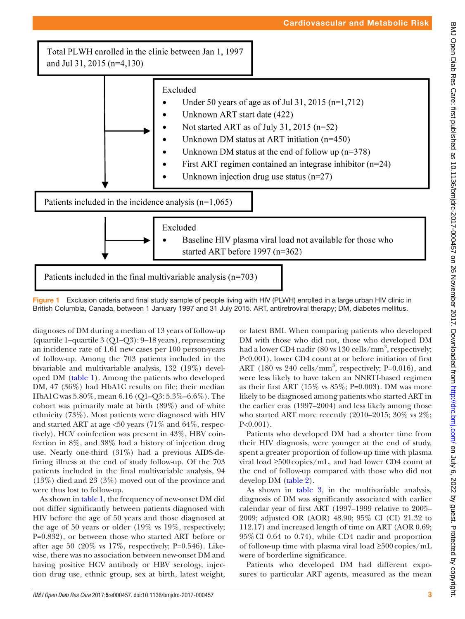Total PLWH enrolled in the clinic between Jan 1, 1997 and Jul 31, 2015 (n=4,130)



<span id="page-2-0"></span>Figure 1 Exclusion criteria and final study sample of people living with HIV (PLWH) enrolled in a large urban HIV clinic in British Columbia, Canada, between 1 January 1997 and 31 July 2015. ART, antiretroviral therapy; DM, diabetes mellitus.

diagnoses of DM during a median of 13 years of follow-up (quartile 1–quartile 3 (Q1–Q3): 9–18 years), representing an incidence rate of 1.61 new cases per 100 person-years of follow-up. Among the 703 patients included in the bivariable and multivariable analysis, 132 (19%) developed DM [\(table](#page-3-0) 1). Among the patients who developed DM, 47 (36%) had HbA1C results on file; their median HbA1C was 5.80%, mean 6.16 (Q1–Q3: 5.3%–6.6%). The cohort was primarily male at birth (89%) and of white ethnicity (73%). Most patients were diagnosed with HIV and started ART at age  $<50$  years (71% and 64%, respectively). HCV coinfection was present in 43%, HBV coinfection in 8%, and 38% had a history of injection drug use. Nearly one-third (31%) had a previous AIDS-defining illness at the end of study follow-up. Of the 703 patients included in the final multivariable analysis, 94 (13%) died and 23 (3%) moved out of the province and were thus lost to follow-up.

As shown in [table](#page-3-0) 1, the frequency of new-onset DM did not differ significantly between patients diagnosed with HIV before the age of 50 years and those diagnosed at the age of 50 years or older (19% vs 19%, respectively; P=0.832), or between those who started ART before or after age 50 (20% vs 17%, respectively; P=0.546). Likewise, there was no association between new-onset DM and having positive HCV antibody or HBV serology, injection drug use, ethnic group, sex at birth, latest weight,

or latest BMI. When comparing patients who developed DM with those who did not, those who developed DM had a lower CD4 nadir (80 vs 130 cells/mm<sup>3</sup>, respectively; P<0.001), lower CD4 count at or before initiation of first ART (180 vs 240 cells/mm<sup>3</sup>, respectively; P=0.016), and were less likely to have taken an NNRTI-based regimen as their first ART (15% vs  $85\%$ ; P=0.003). DM was more likely to be diagnosed among patients who started ART in the earlier eras (1997–2004) and less likely among those who started ART more recently (2010–2015; 30% vs 2%;  $P<0.001$ ).

Patients who developed DM had a shorter time from their HIV diagnosis, were younger at the end of study, spent a greater proportion of follow-up time with plasma viral load ≥500copies/mL, and had lower CD4 count at the end of follow-up compared with those who did not develop DM ([table](#page-4-0) 2).

As shown in [table](#page-5-0) 3, in the multivariable analysis, diagnosis of DM was significantly associated with earlier calendar year of first ART (1997–1999 relative to 2005– 2009; adjusted OR (AOR) 48.90; 95% CI (CI) 21.32 to 112.17) and increased length of time on ART (AOR 0.69; 95%CI 0.64 to 0.74), while CD4 nadir and proportion of follow-up time with plasma viral load ≥500copies/mL were of borderline significance.

Patients who developed DM had different exposures to particular ART agents, measured as the mean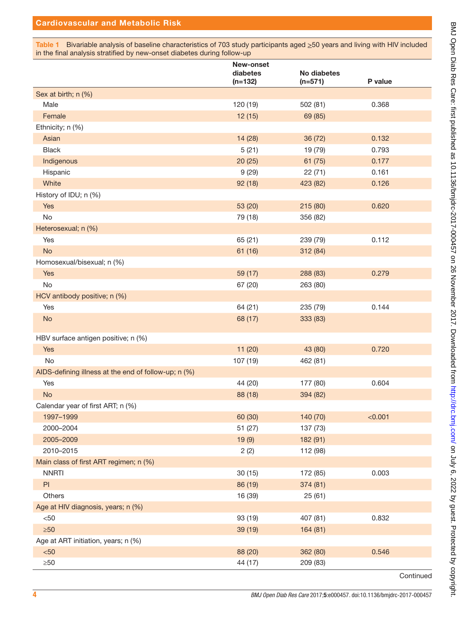<span id="page-3-0"></span>Table 1 Bivariable analysis of baseline characteristics of 703 study participants aged  $\geq$ 50 years and living with HIV included in the final analysis stratified by new-onset diabetes during follow-up

|                                                      | New-onset<br>diabetes<br>$(n=132)$ | <b>No diabetes</b><br>$(n=571)$ | P value |
|------------------------------------------------------|------------------------------------|---------------------------------|---------|
| Sex at birth; n (%)                                  |                                    |                                 |         |
| Male                                                 | 120 (19)                           | 502 (81)                        | 0.368   |
| Female                                               | 12(15)                             | 69 (85)                         |         |
| Ethnicity; n (%)                                     |                                    |                                 |         |
| Asian                                                | 14 (28)                            | 36 (72)                         | 0.132   |
| <b>Black</b>                                         | 5(21)                              | 19 (79)                         | 0.793   |
| Indigenous                                           | 20(25)                             | 61(75)                          | 0.177   |
| Hispanic                                             | 9(29)                              | 22(71)                          | 0.161   |
| White                                                | 92(18)                             | 423 (82)                        | 0.126   |
| History of IDU; n (%)                                |                                    |                                 |         |
| Yes                                                  | 53 (20)                            | 215 (80)                        | 0.620   |
| No                                                   | 79 (18)                            | 356 (82)                        |         |
| Heterosexual; n (%)                                  |                                    |                                 |         |
| Yes                                                  | 65 (21)                            | 239 (79)                        | 0.112   |
| <b>No</b>                                            | 61 (16)                            | 312 (84)                        |         |
| Homosexual/bisexual; n (%)                           |                                    |                                 |         |
| Yes                                                  | 59 (17)                            | 288 (83)                        | 0.279   |
| No                                                   | 67 (20)                            | 263 (80)                        |         |
| HCV antibody positive; n (%)                         |                                    |                                 |         |
| Yes                                                  | 64 (21)                            | 235 (79)                        | 0.144   |
| <b>No</b>                                            | 68 (17)                            | 333 (83)                        |         |
| HBV surface antigen positive; n (%)                  |                                    |                                 |         |
| Yes                                                  | 11(20)                             | 43 (80)                         | 0.720   |
| <b>No</b>                                            | 107 (19)                           | 462 (81)                        |         |
| AIDS-defining illness at the end of follow-up; n (%) |                                    |                                 |         |
| Yes                                                  | 44 (20)                            | 177 (80)                        | 0.604   |
| <b>No</b>                                            | 88 (18)                            | 394 (82)                        |         |
| Calendar year of first ART; n (%)                    |                                    |                                 |         |
| 1997-1999                                            | 60 (30)                            | 140 (70)                        | < 0.001 |
| 2000-2004                                            | 51 (27)                            | 137 (73)                        |         |
| 2005-2009                                            | 19(9)                              | 182 (91)                        |         |
| 2010-2015                                            | 2(2)                               | 112 (98)                        |         |
| Main class of first ART regimen; n (%)               |                                    |                                 |         |
| <b>NNRTI</b>                                         | 30(15)                             | 172 (85)                        | 0.003   |
| PI                                                   | 86 (19)                            | 374 (81)                        |         |
| Others                                               | 16 (39)                            | 25(61)                          |         |
| Age at HIV diagnosis, years; n (%)                   |                                    |                                 |         |
| < 50                                                 | 93 (19)                            | 407 (81)                        | 0.832   |
| $\geq 50$                                            | 39 (19)                            | 164 (81)                        |         |
| Age at ART initiation, years; n (%)                  |                                    |                                 |         |
| $50$                                                 | 88 (20)                            | 362 (80)                        | 0.546   |
| $\geq 50$                                            | 44 (17)                            | 209 (83)                        |         |

**Continued**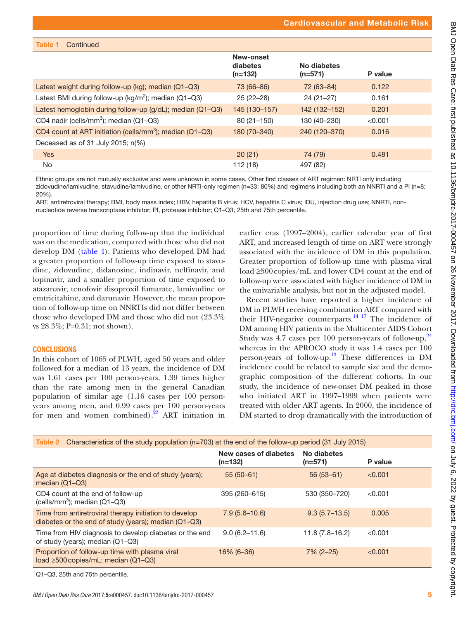| Table 1 | Continued |
|---------|-----------|
|---------|-----------|

|                                                                      | New-onset<br>diabetes<br>$(n=132)$ | No diabetes<br>$(n=571)$ | P value |  |
|----------------------------------------------------------------------|------------------------------------|--------------------------|---------|--|
| Latest weight during follow-up (kg); median (Q1-Q3)                  | 73 (66-86)                         | 72 (63-84)               | 0.122   |  |
| Latest BMI during follow-up ( $kg/m^2$ ); median (Q1-Q3)             | $25(22-28)$                        | $24(21-27)$              | 0.161   |  |
| Latest hemoglobin during follow-up (g/dL); median (Q1-Q3)            | 145 (130-157)                      | 142 (132-152)            | 0.201   |  |
| CD4 nadir (cells/mm <sup>3</sup> ); median (Q1-Q3)                   | $80(21 - 150)$                     | 130 (40-230)             | < 0.001 |  |
| CD4 count at ART initiation (cells/mm <sup>3</sup> ); median (Q1-Q3) | 180 (70-340)                       | 240 (120-370)            | 0.016   |  |
| Deceased as of 31 July 2015; $n(\%)$                                 |                                    |                          |         |  |
| <b>Yes</b>                                                           | 20(21)                             | 74 (79)                  | 0.481   |  |
| No.                                                                  | 112 (18)                           | 497 (82)                 |         |  |

Ethnic groups are not mutually exclusive and were unknown in some cases. Other first classes of ART regimen: NRTI only including zidovudine/lamivudine, stavudine/lamivudine, or other NRTI-only regimen (n=33; 80%) and regimens including both an NNRTI and a PI (n=8; 20%).

ART, antiretroviral therapy; BMI, body mass index; HBV, hepatitis B virus; HCV, hepatitis C virus; IDU, injection drug use; NNRTI, nonnucleotide reverse transcriptase inhibitor; PI, protease inhibitor; Q1–Q3, 25th and 75th percentile.

proportion of time during follow-up that the individual was on the medication, compared with those who did not develop DM ([table](#page-5-1) 4). Patients who developed DM had a greater proportion of follow-up time exposed to stavudine, zidovudine, didanosine, indinavir, nelfinavir, and lopinavir, and a smaller proportion of time exposed to atazanavir, tenofovir disoproxil fumarate, lamivudine or emtricitabine, and darunavir. However, the mean proportion of follow-up time on NNRTIs did not differ between those who developed DM and those who did not (23.3% vs 28.3%; P=0.31; not shown).

#### **CONCLUSIONS**

In this cohort of 1065 of PLWH, aged 50 years and older followed for a median of 13 years, the incidence of DM was 1.61 cases per 100 person-years, 1.39 times higher than the rate among men in the general Canadian population of similar age (1.16 cases per 100 personyears among men, and 0.99 cases per 100 person-years for men and women combined). $^{23}$  $^{23}$  $^{23}$  ART initiation in

earlier eras (1997–2004), earlier calendar year of first ART, and increased length of time on ART were strongly associated with the incidence of DM in this population. Greater proportion of follow-up time with plasma viral load ≥500 copies/mL and lower CD4 count at the end of follow-up were associated with higher incidence of DM in the univariable analysis, but not in the adjusted model.

Recent studies have reported a higher incidence of DM in PLWH receiving combination ART compared with their HIV-negative counterparts.<sup>[14 17](#page-7-5)</sup> The incidence of DM among HIV patients in the Multicenter AIDS Cohort Study was  $4.7$  cases per 100 person-years of follow-up,  $24$ whereas in the APROCO study it was 1.4 cases per 100 person-years of follow-up.<sup>13</sup> These differences in DM incidence could be related to sample size and the demographic composition of the different cohorts. In our study, the incidence of new-onset DM peaked in those who initiated ART in 1997–1999 when patients were treated with older ART agents. In 2000, the incidence of DM started to drop dramatically with the introduction of

<span id="page-4-0"></span>

| Characteristics of the study population (n=703) at the end of the follow-up period (31 July 2015)<br>Table 2   |                                    |                          |         |  |  |  |
|----------------------------------------------------------------------------------------------------------------|------------------------------------|--------------------------|---------|--|--|--|
|                                                                                                                | New cases of diabetes<br>$(n=132)$ | No diabetes<br>$(n=571)$ | P value |  |  |  |
| Age at diabetes diagnosis or the end of study (years);<br>median $(Q1-Q3)$                                     | $55(50-61)$                        | $56(53-61)$              | < 0.001 |  |  |  |
| CD4 count at the end of follow-up<br>(cells/mm <sup>3</sup> ); median (Q1-Q3)                                  | 395 (260-615)                      | 530 (350-720)            | < 0.001 |  |  |  |
| Time from antiretroviral therapy initiation to develop<br>diabetes or the end of study (years); median (Q1-Q3) | $7.9(5.6 - 10.6)$                  | $9.3(5.7-13.5)$          | 0.005   |  |  |  |
| Time from HIV diagnosis to develop diabetes or the end<br>of study (years); median (Q1-Q3)                     | $9.0(6.2 - 11.6)$                  | $11.8(7.8 - 16.2)$       | < 0.001 |  |  |  |
| Proportion of follow-up time with plasma viral<br>load $\geq$ 500 copies/mL; median (Q1-Q3)                    | 16% (6-36)                         | $7\%$ (2-25)             | < 0.001 |  |  |  |
|                                                                                                                |                                    |                          |         |  |  |  |

Q1–Q3, 25th and 75th percentile.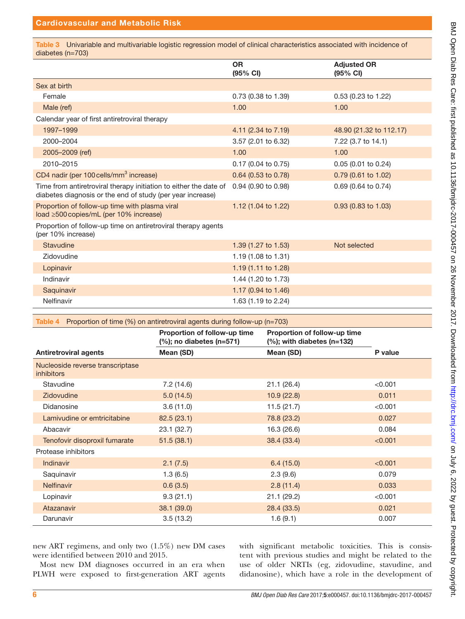# Cardiovascular and Metabolic Risk

<span id="page-5-0"></span>Table 3 Univariable and multivariable logistic regression model of clinical characteristics associated with incidence of diabetes (n=703)

|                                                                                                                                 | <b>OR</b>                      | <b>Adjusted OR</b>      |
|---------------------------------------------------------------------------------------------------------------------------------|--------------------------------|-------------------------|
|                                                                                                                                 | (95% CI)                       | (95% CI)                |
| Sex at birth                                                                                                                    |                                |                         |
| Female                                                                                                                          | 0.73 (0.38 to 1.39)            | 0.53 (0.23 to 1.22)     |
| Male (ref)                                                                                                                      | 1.00                           | 1.00                    |
| Calendar year of first antiretroviral therapy                                                                                   |                                |                         |
| 1997-1999                                                                                                                       | 4.11 (2.34 to 7.19)            | 48.90 (21.32 to 112.17) |
| 2000-2004                                                                                                                       | 3.57 (2.01 to 6.32)            | 7.22 (3.7 to 14.1)      |
| 2005-2009 (ref)                                                                                                                 | 1.00                           | 1.00                    |
| 2010-2015                                                                                                                       | 0.17 (0.04 to 0.75)            | 0.05 (0.01 to 0.24)     |
| CD4 nadir (per 100 cells/mm <sup>3</sup> increase)                                                                              | 0.64 (0.53 to 0.78)            | 0.79 (0.61 to 1.02)     |
| Time from antiretroviral therapy initiation to either the date of<br>diabetes diagnosis or the end of study (per year increase) | 0.94 (0.90 to 0.98)            | 0.69 (0.64 to 0.74)     |
| Proportion of follow-up time with plasma viral<br>load ≥500 copies/mL (per 10% increase)                                        | 1.12 (1.04 to 1.22)            | $0.93$ (0.83 to 1.03)   |
| Proportion of follow-up time on antiretroviral therapy agents<br>(per 10% increase)                                             |                                |                         |
| Stavudine                                                                                                                       | 1.39 (1.27 to 1.53)            | Not selected            |
| Zidovudine                                                                                                                      | 1.19 (1.08 to 1.31)            |                         |
| Lopinavir                                                                                                                       | 1.19 (1.11 to 1.28)            |                         |
| Indinavir                                                                                                                       | 1.44 (1.20 to 1.73)            |                         |
| Saquinavir                                                                                                                      | 1.17 $(0.94 \text{ to } 1.46)$ |                         |
| Nelfinavir                                                                                                                      | 1.63 (1.19 to 2.24)            |                         |

<span id="page-5-1"></span>

|  |  | Table 4 Proportion of time $(\%)$ on antiretroviral agents during follow-up (n=703) |  |  |
|--|--|-------------------------------------------------------------------------------------|--|--|
|  |  |                                                                                     |  |  |

|                                                       | Proportion of follow-up time<br>$(\%)$ ; no diabetes (n=571) | Proportion of follow-up time<br>$(\%)$ ; with diabetes (n=132) |         |
|-------------------------------------------------------|--------------------------------------------------------------|----------------------------------------------------------------|---------|
| <b>Antiretroviral agents</b>                          | Mean (SD)                                                    | Mean (SD)                                                      | P value |
| Nucleoside reverse transcriptase<br><i>inhibitors</i> |                                                              |                                                                |         |
| Stavudine                                             | 7.2(14.6)                                                    | 21.1 (26.4)                                                    | < 0.001 |
| Zidovudine                                            | 5.0(14.5)                                                    | 10.9(22.8)                                                     | 0.011   |
| Didanosine                                            | 3.6(11.0)                                                    | 11.5(21.7)                                                     | < 0.001 |
| Lamivudine or emtricitabine                           | 82.5(23.1)                                                   | 78.8 (23.2)                                                    | 0.027   |
| Abacavir                                              | 23.1 (32.7)                                                  | 16.3 (26.6)                                                    | 0.084   |
| Tenofovir disoproxil fumarate                         | 51.5(38.1)                                                   | 38.4 (33.4)                                                    | < 0.001 |
| Protease inhibitors                                   |                                                              |                                                                |         |
| Indinavir                                             | 2.1(7.5)                                                     | 6.4(15.0)                                                      | < 0.001 |
| Saquinavir                                            | 1.3(6.5)                                                     | 2.3(9.6)                                                       | 0.079   |
| <b>Nelfinavir</b>                                     | 0.6(3.5)                                                     | 2.8(11.4)                                                      | 0.033   |
| Lopinavir                                             | 9.3(21.1)                                                    | 21.1 (29.2)                                                    | < 0.001 |
| Atazanavir                                            | 38.1 (39.0)                                                  | 28.4 (33.5)                                                    | 0.021   |
| Darunavir                                             | 3.5(13.2)                                                    | 1.6(9.1)                                                       | 0.007   |

new ART regimens, and only two (1.5%) new DM cases were identified between 2010 and 2015.

Most new DM diagnoses occurred in an era when PLWH were exposed to first-generation ART agents

with significant metabolic toxicities. This is consistent with previous studies and might be related to the use of older NRTIs (eg, zidovudine, stavudine, and didanosine), which have a role in the development of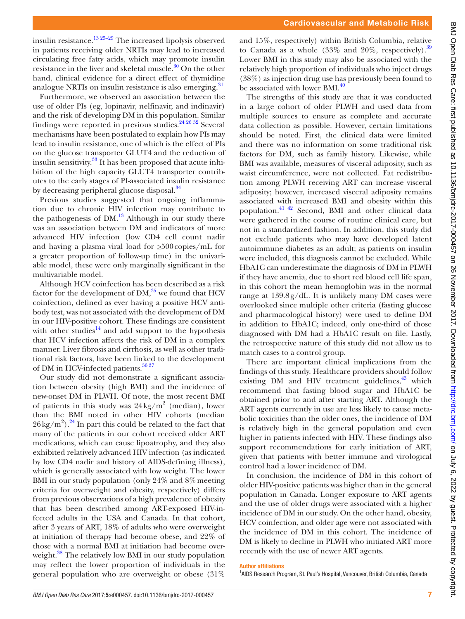insulin resistance.<sup>[13 25–29](#page-7-4)</sup> The increased lipolysis observed in patients receiving older NRTIs may lead to increased circulating free fatty acids, which may promote insulin resistance in the liver and skeletal muscle.<sup>[30](#page-8-0)</sup> On the other hand, clinical evidence for a direct effect of thymidine analogue NRTIs on insulin resistance is also emerging.<sup>31</sup>

Furthermore, we observed an association between the use of older PIs (eg, lopinavir, nelfinavir, and indinavir) and the risk of developing DM in this population. Similar findings were reported in previous studies.<sup>[24 26 32](#page-7-12)</sup> Several mechanisms have been postulated to explain how PIs may lead to insulin resistance, one of which is the effect of PIs on the glucose transporter GLUT4 and the reduction of insulin sensitivity.[33](#page-8-2) It has been proposed that acute inhibition of the high capacity GLUT4 transporter contributes to the early stages of PI-associated insulin resistance by decreasing peripheral glucose disposal.<sup>[34](#page-8-3)</sup>

Previous studies suggested that ongoing inflammation due to chronic HIV infection may contribute to the pathogenesis of  $DM<sup>13</sup>$  Although in our study there was an association between DM and indicators of more advanced HIV infection (low CD4 cell count nadir and having a plasma viral load for  $\geq 500$  copies/mL for a greater proportion of follow-up time) in the univariable model, these were only marginally significant in the multivariable model.

Although HCV coinfection has been described as a risk factor for the development of  $DM<sub>1</sub><sup>35</sup>$  we found that HCV coinfection, defined as ever having a positive HCV antibody test, was not associated with the development of DM in our HIV-positive cohort. These findings are consistent with other studies<sup>14</sup> and add support to the hypothesis that HCV infection affects the risk of DM in a complex manner. Liver fibrosis and cirrhosis, as well as other traditional risk factors, have been linked to the development of DM in HCV-infected patients.<sup>[36 37](#page-8-5)</sup>

Our study did not demonstrate a significant association between obesity (high BMI) and the incidence of new-onset DM in PLWH. Of note, the most recent BMI of patients in this study was  $24 \text{ kg/m}^2$  (median), lower than the BMI noted in other HIV cohorts (median  $26 \text{ kg/m}^2$ ).<sup>24</sup> In part this could be related to the fact that many of the patients in our cohort received older ART medications, which can cause lipoatrophy, and they also exhibited relatively advanced HIV infection (as indicated by low CD4 nadir and history of AIDS-defining illness), which is generally associated with low weight. The lower BMI in our study population (only  $24\%$  and  $8\%$  meeting criteria for overweight and obesity, respectively) differs from previous observations of a high prevalence of obesity that has been described among ART-exposed HIV-infected adults in the USA and Canada. In that cohort, after 3 years of ART, 18% of adults who were overweight at initiation of therapy had become obese, and 22% of those with a normal BMI at initiation had become overweight.<sup>38</sup> The relatively low BMI in our study population may reflect the lower proportion of individuals in the general population who are overweight or obese (31%

and 15%, respectively) within British Columbia, relative to Canada as a whole  $(33\%$  and  $20\%$ , respectively).<sup>39</sup> Lower BMI in this study may also be associated with the relatively high proportion of individuals who inject drugs (38%) as injection drug use has previously been found to be associated with lower BMI.<sup>[40](#page-8-8)</sup>

The strengths of this study are that it was conducted in a large cohort of older PLWH and used data from multiple sources to ensure as complete and accurate data collection as possible. However, certain limitations should be noted. First, the clinical data were limited and there was no information on some traditional risk factors for DM, such as family history. Likewise, while BMI was available, measures of visceral adiposity, such as waist circumference, were not collected. Fat redistribution among PLWH receiving ART can increase visceral adiposity; however, increased visceral adiposity remains associated with increased BMI and obesity within this population.[41 42](#page-8-9) Second, BMI and other clinical data were gathered in the course of routine clinical care, but not in a standardized fashion. In addition, this study did not exclude patients who may have developed latent autoimmune diabetes as an adult; as patients on insulin were included, this diagnosis cannot be excluded. While HbA1C can underestimate the diagnosis of DM in PLWH if they have anemia, due to short red blood cell life span, in this cohort the mean hemoglobin was in the normal range at  $139.8g/dL$ . It is unlikely many DM cases were overlooked since multiple other criteria (fasting glucose and pharmacological history) were used to define DM in addition to HbA1C; indeed, only one-third of those diagnosed with DM had a HbA1C result on file. Lastly, the retrospective nature of this study did not allow us to match cases to a control group.

There are important clinical implications from the findings of this study. Healthcare providers should follow existing DM and HIV treatment guidelines, $43$  which recommend that fasting blood sugar and HbA1C be obtained prior to and after starting ART. Although the ART agents currently in use are less likely to cause metabolic toxicities than the older ones, the incidence of DM is relatively high in the general population and even higher in patients infected with HIV. These findings also support recommendations for early initiation of ART, given that patients with better immune and virological control had a lower incidence of DM.

In conclusion, the incidence of DM in this cohort of older HIV-positive patients was higher than in the general population in Canada. Longer exposure to ART agents and the use of older drugs were associated with a higher incidence of DM in our study. On the other hand, obesity, HCV coinfection, and older age were not associated with the incidence of DM in this cohort. The incidence of DM is likely to decline in PLWH who initiated ART more recently with the use of newer ART agents.

#### Author affiliations

<sup>1</sup>AIDS Research Program, St. Paul's Hospital, Vancouver, British Columbia, Canada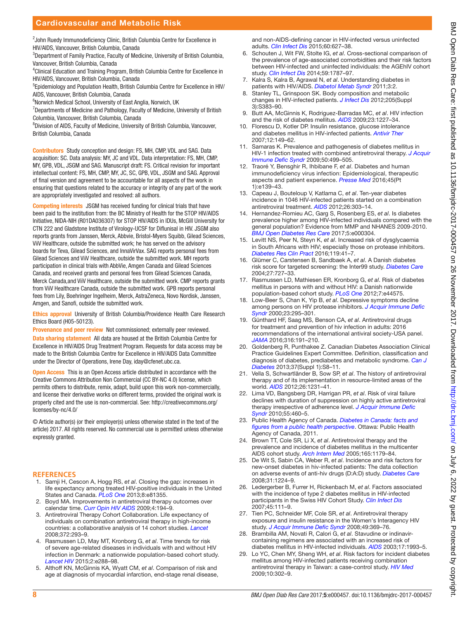<sup>2</sup> John Ruedy Immunodeficiency Clinic, British Columbia Centre for Excellence in HIV/AIDS, Vancouver, British Columbia, Canada

<sup>3</sup>Department of Family Practice, Faculty of Medicine, University of British Columbia, Vancouver, British Columbia, Canada

<sup>4</sup> Clinical Education and Training Program, British Columbia Centre for Excellence in HIV/AIDS, Vancouver, British Columbia, Canada

5 Epidemiology and Population Health, British Columbia Centre for Excellence in HIV/ AIDS, Vancouver, British Columbia, Canada

6 Norwich Medical School, University of East Anglia, Norwich, UK

 $7$ Departments of Medicine and Pathology, Faculty of Medicine, University of British Columbia, Vancouver, British Columbia, Canada

<sup>8</sup>Division of AIDS, Faculty of Medicine, University of British Columbia, Vancouver, British Columbia, Canada

Contributors Study conception and design: FS, MH, CMP, VDL and SAG. Data acquisition: SC. Data analysis: MY, JC and VDL. Data interpretation: FS, MH, CMP, MY, GPB, VDL, JSGM and SAG. Manuscript draft: FS. Critical revision for important intellectual content: FS, MH, CMP, MY, JC, SC, GPB, VDL, JSGM and SAG. Approval of final version and agreement to be accountable for all aspects of the work in ensuring that questions related to the accuracy or integrity of any part of the work are appropriately investigated and resolved: all authors.

Competing interests JSGM has received funding for clinical trials that have been paid to the institution from: the BC Ministry of Health for the STOP HIV/AIDS Initiative, NIDA-NIH (R01DA036307) for STOP HIV/AIDS in IDUs, McGill University for CTN 222 and Gladstone Institute of Virology-UCSF for Diflunisal in HIV. JSGM also reports grants from Janssen, Merck, Abbvie, Bristol-Myers Squibb, Gilead Sciences, ViiV Healthcare, outside the submitted work; he has served on the advisory boards for Teva, Gilead Sciences, and InnaVirVax. SAG reports personal fees from Gilead Sciences and ViiV Healthcare, outside the submitted work. MH reports participation in clinical trials with AbbVie, Amgen Canada and Gilead Sciences Canada, and received grants and personal fees from Gilead Sciences Canada, Merck Canada,and ViiV Healthcare, outside the submitted work. CMP reports grants from ViiV Healthcare Canada, outside the submitted work. GPB reports personal fees from Lily, Boehringer Ingelheim, Merck, AstraZeneca, Novo Nordisk, Janssen, Amgen, and Sanofi, outside the submitted work.

Ethics approval University of British Columbia/Providence Health Care Research Ethics Board (H05-50123).

Provenance and peer review Not commissioned; externally peer reviewed.

Data sharing statement All data are housed at the British Columbia Centre for Excellence in HIV/AIDS Drug Treatment Program. Requests for data access may be made to the British Columbia Centre for Excellence in HIV/AIDS Data Committee under the Director of Operations, Irene Day, <iday@cfenet.ubc.ca>.

Open Access This is an Open Access article distributed in accordance with the Creative Commons Attribution Non Commercial (CC BY-NC 4.0) license, which permits others to distribute, remix, adapt, build upon this work non-commercially, and license their derivative works on different terms, provided the original work is properly cited and the use is non-commercial. See: [http://creativecommons.org/](http://creativecommons.org/licenses/by-nc/4.0/) [licenses/by-nc/4.0/](http://creativecommons.org/licenses/by-nc/4.0/)

© Article author(s) (or their employer(s) unless otherwise stated in the text of the article) 2017. All rights reserved. No commercial use is permitted unless otherwise expressly granted.

#### **References**

- <span id="page-7-0"></span>1. Samji H, Cescon A, Hogg RS, *et al*. Closing the gap: increases in life expectancy among treated HIV-positive individuals in the United States and Canada. *[PLoS One](http://dx.doi.org/10.1371/journal.pone.0081355)* 2013;8:e81355.
- 2. Boyd MA. Improvements in antiretroviral therapy outcomes over calendar time. *[Curr Opin HIV AIDS](http://dx.doi.org/10.1097/COH.0b013e328329fc8d)* 2009;4:194–9.
- 3. Antiretroviral Therapy Cohort Collaboration. Life expectancy of individuals on combination antiretroviral therapy in high-income countries: a collaborative analysis of 14 cohort studies. *[Lancet](http://dx.doi.org/10.1016/S0140-6736(08)61113-7)* 2008;372:293–9.
- <span id="page-7-1"></span>4. Rasmussen LD, May MT, Kronborg G, *et al*. Time trends for risk of severe age-related diseases in individuals with and without HIV infection in Denmark: a nationwide population-based cohort study. *[Lancet HIV](http://dx.doi.org/10.1016/S2352-3018(15)00077-6)* 2015;2:e288–98.
- 5. Althoff KN, McGinnis KA, Wyatt CM, *et al*. Comparison of risk and age at diagnosis of myocardial infarction, end-stage renal disease,

and non-AIDS-defining cancer in HIV-infected versus uninfected adults. *[Clin Infect Dis](http://dx.doi.org/10.1093/cid/ciu869)* 2015;60:627–38.

- 6. Schouten J, Wit FW, Stolte IG, *et al*. Cross-sectional comparison of the prevalence of age-associated comorbidities and their risk factors between HIV-infected and uninfected individuals: the AGEhIV cohort study. *[Clin Infect Dis](http://dx.doi.org/10.1093/cid/ciu701)* 2014;59:1787–97.
- <span id="page-7-2"></span>7. Kalra S, Kalra B, Agrawal N, *et al*. Understanding diabetes in patients with HIV/AIDS. *[Diabetol Metab Syndr](http://dx.doi.org/10.1186/1758-5996-3-2)* 2011;3:2.
- 8. Stanley TL, Grinspoon SK. Body composition and metabolic changes in HIV-infected patients. *[J Infect Dis](http://dx.doi.org/10.1093/infdis/jis205)* 2012;205(Suppl 3):S383–90.
- <span id="page-7-3"></span>9. Butt AA, McGinnis K, Rodriguez-Barradas MC, *et al*. HIV infection and the risk of diabetes mellitus. *[AIDS](http://dx.doi.org/10.1097/QAD.0b013e32832bd7af)* 2009;23:1227–34.
- 10. Florescu D, Kotler DP. Insulin resistance, glucose intolerance and diabetes mellitus in HIV-infected patients. *Antivir Ther* 2007;12:149–62.
- 11. Samaras K. Prevalence and pathogenesis of diabetes mellitus in HIV-1 infection treated with combined antiretroviral therapy. *[J Acquir](http://dx.doi.org/10.1097/QAI.0b013e31819c291b)  [Immune Defic Syndr](http://dx.doi.org/10.1097/QAI.0b013e31819c291b)* 2009;50:499–505.
- 12. Traoré Y, Bensghir R, Ihbibane F, *et al*. Diabetes and human immunodeficiency virus infection: Epidemiological, therapeutic aspects and patient experience. *[Presse Med](http://dx.doi.org/10.1016/j.lpm.2015.06.019)* 2016;45(Pt 1):e139–43.
- <span id="page-7-4"></span>13. Capeau J, Bouteloup V, Katlama C, *et al*. Ten-year diabetes incidence in 1046 HIV-infected patients started on a combination antiretroviral treatment. *[AIDS](http://dx.doi.org/10.1097/QAD.0b013e32834e8776)* 2012;26:303–14.
- <span id="page-7-5"></span>14. Hernandez-Romieu AC, Garg S, Rosenberg ES, *et al*. Is diabetes prevalence higher among HIV-infected individuals compared with the general population? Evidence from MMP and NHANES 2009-2010. *[BMJ Open Diabetes Res Care](http://dx.doi.org/10.1136/bmjdrc-2016-000304)* 2017;5:e000304.
- 15. Levitt NS, Peer N, Steyn K, *et al*. Increased risk of dysglycaemia in South Africans with HIV; especially those on protease inhibitors. *[Diabetes Res Clin Pract](http://dx.doi.org/10.1016/j.diabres.2016.03.012)* 2016;119:41–7.
- 16. Glümer C, Carstensen B, Sandbaek A, *et al*. A Danish diabetes risk score for targeted screening: the Inter99 study. *[Diabetes Care](http://dx.doi.org/10.2337/diacare.27.3.727)* 2004;27:727–33.
- 17. Rasmussen LD, Mathiesen ER, Kronborg G, *et al*. Risk of diabetes mellitus in persons with and without HIV: a Danish nationwide population-based cohort study. *[PLoS One](http://dx.doi.org/10.1371/journal.pone.0044575)* 2012;7:e44575.
- <span id="page-7-6"></span>18. Low-Beer S, Chan K, Yip B, *et al*. Depressive symptoms decline among persons on HIV protease inhibitors. *[J Acquir Immune Defic](http://dx.doi.org/10.1097/00042560-200004010-00003)  [Syndr](http://dx.doi.org/10.1097/00042560-200004010-00003)* 2000;23:295–301.
- <span id="page-7-7"></span>19. Günthard HF, Saag MS, Benson CA, *et al*. Antiretroviral drugs for treatment and prevention of hiv infection in adults: 2016 recommendations of the international antiviral society-USA panel. *[JAMA](http://dx.doi.org/10.1001/jama.2016.8900)* 2016;316:191–210.
- <span id="page-7-8"></span>20. Goldenberg R, Punthakee Z. Canadian Diabetes Association Clinical Practice Guidelines Expert Committee. Definition, classification and diagnosis of diabetes, prediabetes and metabolic syndrome. *[Can J](http://dx.doi.org/10.1016/j.jcjd.2013.01.011)  [Diabetes](http://dx.doi.org/10.1016/j.jcjd.2013.01.011)* 2013;37(Suppl 1):S8–11.
- <span id="page-7-9"></span>21. Vella S, Schwartländer B, Sow SP, *et al*. The history of antiretroviral therapy and of its implementation in resource-limited areas of the world. *[AIDS](http://dx.doi.org/10.1097/QAD.0b013e32835521a3)* 2012;26:1231–41.
- <span id="page-7-10"></span>22. Lima VD, Bangsberg DR, Harrigan PR, *et al*. Risk of viral failure declines with duration of suppression on highly active antiretroviral therapy irrespective of adherence level. *[J Acquir Immune Defic](http://dx.doi.org/10.1097/QAI.0b013e3181f2ac87)  [Syndr](http://dx.doi.org/10.1097/QAI.0b013e3181f2ac87)* 2010;55:460–5.
- <span id="page-7-11"></span>23. Public Health Agency of Canada. *Diabetes in Canada: facts and figures from a public health perspective*. Ottawa: Public Health Agency of Canada, 2011.
- <span id="page-7-12"></span>24. Brown TT, Cole SR, Li X, *et al*. Antiretroviral therapy and the prevalence and incidence of diabetes mellitus in the multicenter AIDS cohort study. *[Arch Intern Med](http://dx.doi.org/10.1001/archinte.165.10.1179)* 2005;165:1179–84.
- 25. De Wit S, Sabin CA, Weber R, *et al*. Incidence and risk factors for new-onset diabetes in hiv-infected patients: The data collection on adverse events of anti-hiv drugs (D:A:D) study. *[Diabetes Care](http://dx.doi.org/10.2337/dc07-2013)* 2008;31:1224–9.
- 26. Ledergerber B, Furrer H, Rickenbach M, *et al*. Factors associated with the incidence of type 2 diabetes mellitus in HIV-infected participants in the Swiss HIV Cohort Study. *[Clin Infect Dis](http://dx.doi.org/10.1086/518619)* 2007;45:111–9.
- 27. Tien PC, Schneider MF, Cole SR, *et al*. Antiretroviral therapy exposure and insulin resistance in the Women's Interagency HIV study. *[J Acquir Immune Defic Syndr](http://dx.doi.org/10.1097/QAI.0b013e318189a780)* 2008;49:369–76.
- 28. Brambilla AM, Novati R, Calori G, *et al*. Stavudine or indinavircontaining regimens are associated with an increased risk of diabetes mellitus in HIV-infected individuals. *[AIDS](http://dx.doi.org/10.1097/00002030-200309050-00022)* 2003;17:1993–5.
- 29. Lo YC, Chen MY, Sheng WH, *et al*. Risk factors for incident diabetes mellitus among HIV-infected patients receiving combination antiretroviral therapy in Taiwan: a case-control study. *[HIV Med](http://dx.doi.org/10.1111/j.1468-1293.2008.00687.x)* 2009;10:302–9.